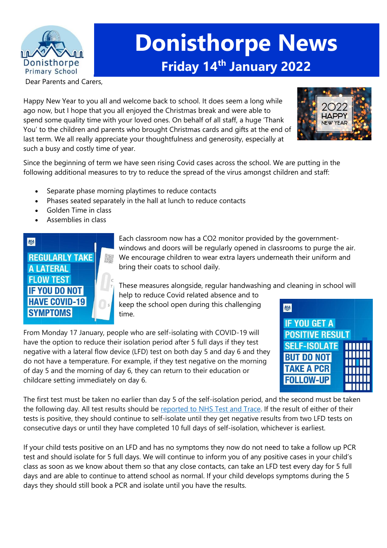

# **Donisthorpe News Friday 14th January 2022**

Dear Parents and Carers,

Happy New Year to you all and welcome back to school. It does seem a long while ago now, but I hope that you all enjoyed the Christmas break and were able to spend some quality time with your loved ones. On behalf of all staff, a huge 'Thank You' to the children and parents who brought Christmas cards and gifts at the end of last term. We all really appreciate your thoughtfulness and generosity, especially at such a busy and costly time of year.



Since the beginning of term we have seen rising Covid cases across the school. We are putting in the following additional measures to try to reduce the spread of the virus amongst children and staff:

- Separate phase morning playtimes to reduce contacts
- Phases seated separately in the hall at lunch to reduce contacts
- Golden Time in class
- Assemblies in class



Each classroom now has a CO2 monitor provided by the governmentwindows and doors will be regularly opened in classrooms to purge the air. We encourage children to wear extra layers underneath their uniform and bring their coats to school daily.

These measures alongside, regular handwashing and cleaning in school will

help to reduce Covid related absence and to keep the school open during this challenging time.

From Monday 17 January, people who are self-isolating with COVID-19 will have the option to reduce their isolation period after 5 full days if they test negative with a lateral flow device (LFD) test on both day 5 and day 6 and they do not have a temperature. For example, if they test negative on the morning of day 5 and the morning of day 6, they can return to their education or childcare setting immediately on day 6.



The first test must be taken no earlier than day 5 of the self-isolation period, and the second must be taken the following day. All test results should be [reported](https://www.gov.uk/report-covid19-result?utm_source=14%20January%202022%20C19&utm_medium=Daily%20Email%20C19&utm_campaign=DfE%20C19) to NHS Test and Trace. If the result of either of their tests is positive, they should continue to self-isolate until they get negative results from two LFD tests on consecutive days or until they have completed 10 full days of self-isolation, whichever is earliest.

If your child tests positive on an LFD and has no symptoms they now do not need to take a follow up PCR test and should isolate for 5 full days. We will continue to inform you of any positive cases in your child's class as soon as we know about them so that any close contacts, can take an LFD test every day for 5 full days and are able to continue to attend school as normal. If your child develops symptoms during the 5 days they should still book a PCR and isolate until you have the results.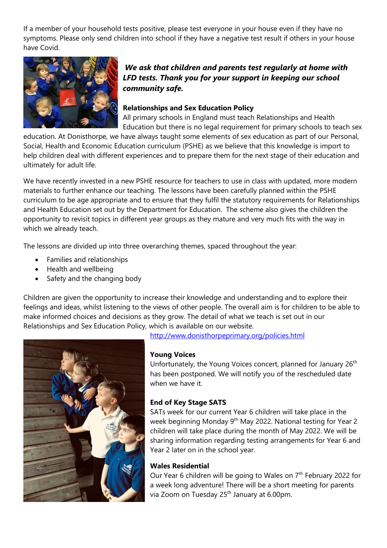If a member of your household tests positive, please test everyone in your house even if they have no symptoms. Please only send children into school if they have a negative test result if others in your house have Covid.



## *We ask that children and parents test regularly at home with LFD tests. Thank you for your support in keeping our school community safe.*

#### **Relationships and Sex Education Policy**

All primary schools in England must teach Relationships and Health Education but there is no legal requirement for primary schools to teach sex

education. At Donisthorpe, we have always taught some elements of sex education as part of our Personal, Social, Health and Economic Education curriculum (PSHE) as we believe that this knowledge is import to help children deal with different experiences and to prepare them for the next stage of their education and ultimately for adult life.

We have recently invested in a new PSHE resource for teachers to use in class with updated, more modern materials to further enhance our teaching. The lessons have been carefully planned within the PSHE curriculum to be age appropriate and to ensure that they fulfil the statutory requirements for Relationships and Health Education set out by the Department for Education. The scheme also gives the children the opportunity to revisit topics in different year groups as they mature and very much fits with the way in which we already teach.

The lessons are divided up into three overarching themes, spaced throughout the year:

- Families and relationships
- Health and wellbeing
- Safety and the changing body

Children are given the opportunity to increase their knowledge and understanding and to explore their feelings and ideas, whilst listening to the views of other people. The overall aim is for children to be able to make informed choices and decisions as they grow. The detail of what we teach is set out in our Relationships and Sex Education Policy, which is available on our website.



<http://www.donisthorpeprimary.org/policies.html>

#### **Young Voices**

Unfortunately, the Young Voices concert, planned for January 26<sup>th</sup> has been postponed. We will notify you of the rescheduled date when we have it.

### **End of Key Stage SATS**

SATs week for our current Year 6 children will take place in the week beginning Monday 9<sup>th</sup> May 2022. National testing for Year 2 children will take place during the month of May 2022. We will be sharing information regarding testing arrangements for Year 6 and Year 2 later on in the school year.

#### **Wales Residential**

Our Year 6 children will be going to Wales on 7<sup>th</sup> February 2022 for a week long adventure! There will be a short meeting for parents via Zoom on Tuesday 25<sup>th</sup> January at 6.00pm.